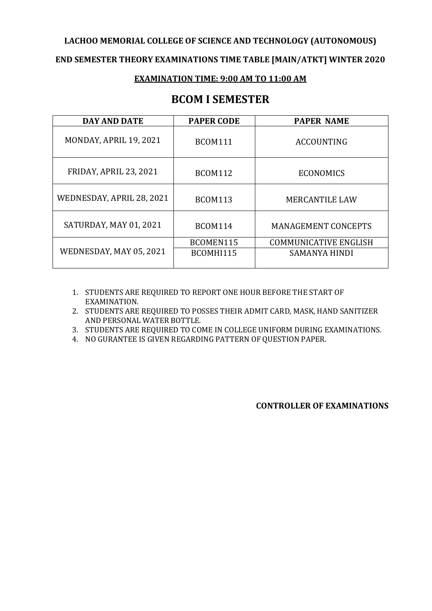# **LACHOO MEMORIAL COLLEGE OF SCIENCE AND TECHNOLOGY (AUTONOMOUS)**

### **END SEMESTER THEORY EXAMINATIONS TIME TABLE [MAIN/ATKT] WINTER 2020**

#### **EXAMINATION TIME: 9:00 AM TO 11:00 AM**

# **BCOM I SEMESTER**

| <b>DAY AND DATE</b>           | <b>PAPER CODE</b> | <b>PAPER NAME</b>            |
|-------------------------------|-------------------|------------------------------|
| MONDAY, APRIL 19, 2021        | <b>BCOM111</b>    | <b>ACCOUNTING</b>            |
| <b>FRIDAY, APRIL 23, 2021</b> | <b>BCOM112</b>    | <b>ECONOMICS</b>             |
| WEDNESDAY, APRIL 28, 2021     | <b>BCOM113</b>    | <b>MERCANTILE LAW</b>        |
| SATURDAY, MAY 01, 2021        | <b>BCOM114</b>    | <b>MANAGEMENT CONCEPTS</b>   |
| WEDNESDAY, MAY 05, 2021       | BCOMEN115         | <b>COMMUNICATIVE ENGLISH</b> |
|                               | BCOMHI115         | SAMANYA HINDI                |

- 1. STUDENTS ARE REQUIRED TO REPORT ONE HOUR BEFORE THE START OF EXAMINATION.
- 2. STUDENTS ARE REQUIRED TO POSSES THEIR ADMIT CARD, MASK, HAND SANITIZER AND PERSONAL WATER BOTTLE.
- 3. STUDENTS ARE REQUIRED TO COME IN COLLEGE UNIFORM DURING EXAMINATIONS.
- 4. NO GURANTEE IS GIVEN REGARDING PATTERN OF QUESTION PAPER.

#### **CONTROLLER OF EXAMINATIONS**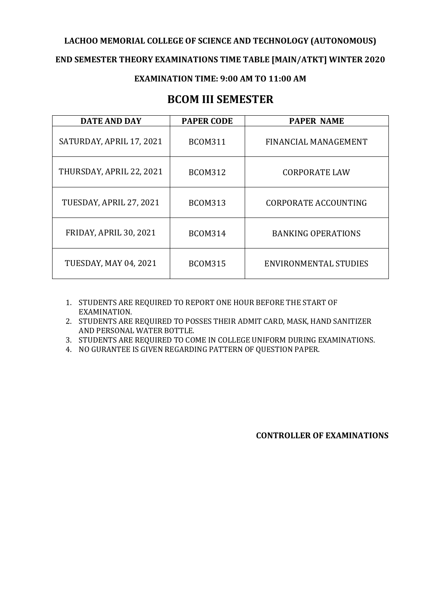# **LACHOO MEMORIAL COLLEGE OF SCIENCE AND TECHNOLOGY (AUTONOMOUS)**

### **END SEMESTER THEORY EXAMINATIONS TIME TABLE [MAIN/ATKT] WINTER 2020**

# **EXAMINATION TIME: 9:00 AM TO 11:00 AM**

# **BCOM III SEMESTER**

| <b>DATE AND DAY</b>           | <b>PAPER CODE</b> | <b>PAPER NAME</b>            |
|-------------------------------|-------------------|------------------------------|
| SATURDAY, APRIL 17, 2021      | <b>BCOM311</b>    | FINANCIAL MANAGEMENT         |
| THURSDAY, APRIL 22, 2021      | <b>BCOM312</b>    | <b>CORPORATE LAW</b>         |
| TUESDAY, APRIL 27, 2021       | <b>BCOM313</b>    | CORPORATE ACCOUNTING         |
| <b>FRIDAY, APRIL 30, 2021</b> | <b>BCOM314</b>    | <b>BANKING OPERATIONS</b>    |
| <b>TUESDAY, MAY 04, 2021</b>  | <b>BCOM315</b>    | <b>ENVIRONMENTAL STUDIES</b> |

- 1. STUDENTS ARE REQUIRED TO REPORT ONE HOUR BEFORE THE START OF EXAMINATION.
- 2. STUDENTS ARE REQUIRED TO POSSES THEIR ADMIT CARD, MASK, HAND SANITIZER AND PERSONAL WATER BOTTLE.
- 3. STUDENTS ARE REQUIRED TO COME IN COLLEGE UNIFORM DURING EXAMINATIONS.
- 4. NO GURANTEE IS GIVEN REGARDING PATTERN OF QUESTION PAPER.

**CONTROLLER OF EXAMINATIONS**